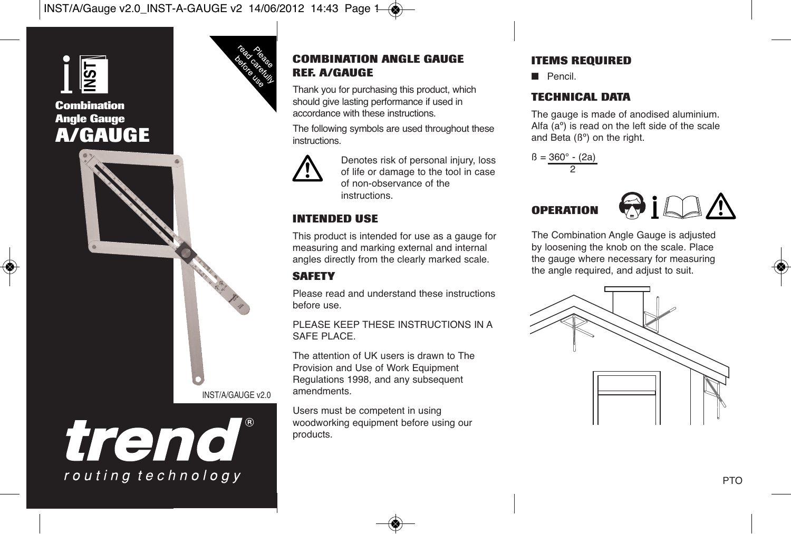



#### **COMBINATION ANGLE GAUGE REF. A/GAUGE**

Thank you for purchasing this product, which should give lasting performance if used in accordance with these instructions.

The following symbols are used throughout these instructions.



Denotes risk of personal injury, loss of life or damage to the tool in case of non-observance of the instructions.

## **INTENDED USE**

This product is intended for use as a gauge for measuring and marking external and internal angles directly from the clearly marked scale.

# **SAFETY**

Please read and understand these instructions before use.

PLEASE KEEP THESE INSTRUCTIONS IN A SAFE PLACE.

The attention of UK users is drawn to The Provision and Use of Work Equipment Regulations 1998, and any subsequent amendments.

Users must be competent in using woodworking equipment before using our products.

## **ITEMS REQUIRED**

■ Pencil

## **TECHNICAL DATA**

The gauge is made of anodised aluminium. Alfa (aº) is read on the left side of the scale and Beta  $(6^{\circ})$  on the right.





The Combination Angle Gauge is adjusted by loosening the knob on the scale. Place the gauge where necessary for measuring the angle required, and adjust to suit.



INST/A/GAUGE v2.0

trend

routing technology